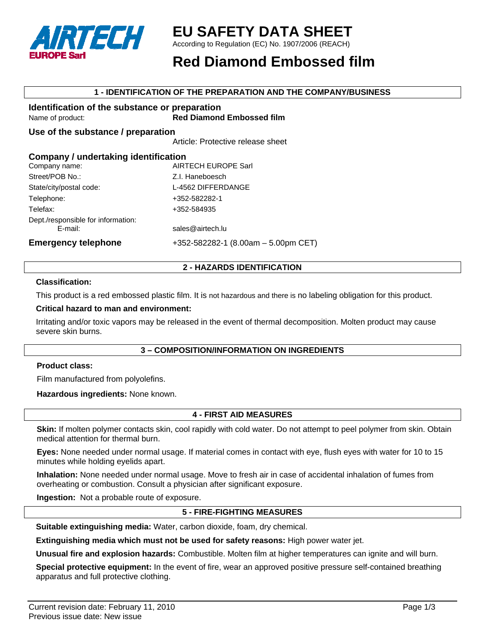

## **EU SAFETY DATA SHEET**

According to Regulation (EC) No. 1907/2006 (REACH)

## **Red Diamond Embossed film**

### **1 - IDENTIFICATION OF THE PREPARATION AND THE COMPANY/BUSINESS**

#### **Identification of the substance or preparation**  Name of product: **Red Diamond Embossed film**

**Use of the substance / preparation** 

Article: Protective release sheet

### **Company / undertaking identification**

| Company name:                                 | <b>AIRTECH EUROPE Sarl</b>                |
|-----------------------------------------------|-------------------------------------------|
| Street/POB No.:                               | Z.I. Haneboesch                           |
| State/city/postal code:<br>Telephone:         | L-4562 DIFFERDANGE<br>+352-582282-1       |
|                                               |                                           |
| Dept./responsible for information:<br>E-mail: | sales@airtech.lu                          |
| <b>Emergency telephone</b>                    | $+352 - 582282 - 1$ (8.00am - 5.00pm CET) |

### **2 - HAZARDS IDENTIFICATION**

### **Classification:**

This product is a red embossed plastic film. It is not hazardous and there is no labeling obligation for this product.

#### **Critical hazard to man and environment:**

Irritating and/or toxic vapors may be released in the event of thermal decomposition. Molten product may cause severe skin burns.

### **3 – COMPOSITION/INFORMATION ON INGREDIENTS**

#### **Product class:**

Film manufactured from polyolefins.

**Hazardous ingredients:** None known.

### **4 - FIRST AID MEASURES**

**Skin:** If molten polymer contacts skin, cool rapidly with cold water. Do not attempt to peel polymer from skin. Obtain medical attention for thermal burn.

**Eyes:** None needed under normal usage. If material comes in contact with eye, flush eyes with water for 10 to 15 minutes while holding eyelids apart.

**Inhalation:** None needed under normal usage. Move to fresh air in case of accidental inhalation of fumes from overheating or combustion. Consult a physician after significant exposure.

**Ingestion:** Not a probable route of exposure.

### **5 - FIRE-FIGHTING MEASURES**

**Suitable extinguishing media:** Water, carbon dioxide, foam, dry chemical.

**Extinguishing media which must not be used for safety reasons:** High power water jet.

**Unusual fire and explosion hazards:** Combustible. Molten film at higher temperatures can ignite and will burn.

**Special protective equipment:** In the event of fire, wear an approved positive pressure self-contained breathing apparatus and full protective clothing.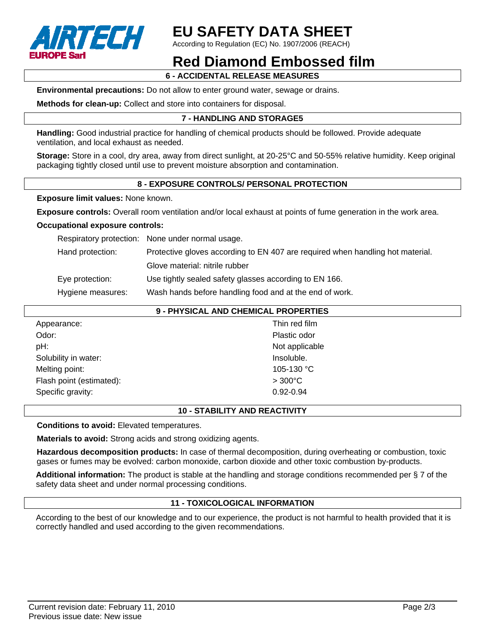

# **EU SAFETY DATA SHEET**

According to Regulation (EC) No. 1907/2006 (REACH)

## **Red Diamond Embossed film**

**6 - ACCIDENTAL RELEASE MEASURES** 

**Environmental precautions:** Do not allow to enter ground water, sewage or drains.

**Methods for clean-up:** Collect and store into containers for disposal.

## **7 - HANDLING AND STORAGE5**

**Handling:** Good industrial practice for handling of chemical products should be followed. Provide adequate ventilation, and local exhaust as needed.

**Storage:** Store in a cool, dry area, away from direct sunlight, at 20-25°C and 50-55% relative humidity. Keep original packaging tightly closed until use to prevent moisture absorption and contamination.

## **8 - EXPOSURE CONTROLS/ PERSONAL PROTECTION**

**Exposure limit values:** None known.

**Exposure controls:** Overall room ventilation and/or local exhaust at points of fume generation in the work area.

### **Occupational exposure controls:**

Respiratory protection: None under normal usage.

Hand protection: Protective gloves according to EN 407 are required when handling hot material.

Glove material: nitrile rubber

Eye protection: Use tightly sealed safety glasses according to EN 166.

Hygiene measures: Wash hands before handling food and at the end of work.

|                          | 9 - PHYSICAL AND CHEMICAL PROPERTIES |
|--------------------------|--------------------------------------|
| Appearance:              | Thin red film                        |
| Odor:                    | Plastic odor                         |
| pH:                      | Not applicable                       |
| Solubility in water:     | Insoluble.                           |
| Melting point:           | 105-130 °C                           |
| Flash point (estimated): | $>300^{\circ}$ C                     |
| Specific gravity:        | 0.92-0.94                            |
|                          |                                      |

## **10 - STABILITY AND REACTIVITY**

**Conditions to avoid:** Elevated temperatures.

**Materials to avoid:** Strong acids and strong oxidizing agents.

**Hazardous decomposition products:** In case of thermal decomposition, during overheating or combustion, toxic gases or fumes may be evolved: carbon monoxide, carbon dioxide and other toxic combustion by-products.

**Additional information:** The product is stable at the handling and storage conditions recommended per § 7 of the safety data sheet and under normal processing conditions.

## **11 - TOXICOLOGICAL INFORMATION**

According to the best of our knowledge and to our experience, the product is not harmful to health provided that it is correctly handled and used according to the given recommendations.